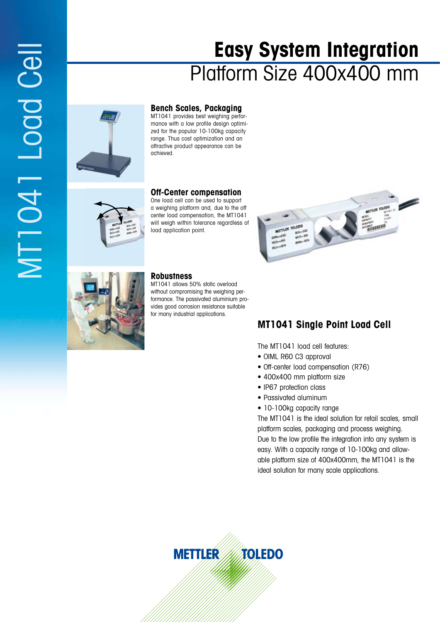# MT1041 Load Cell MT1041 Logd Cell

# **Easy System Integration** Platform Size 400x400 mm



**Bench Scales, Packaging** MT1041 provides best weighing performance with a low profile design optimized for the popular 10-100kg capacity range. Thus cost optimization and an attractive product appearance can be achieved.

### **Off-Center compensation**

One load cell can be used to support a weighing platform and, due to the off center load compensation, the MT1041 will weigh within tolerance regardless of load application point.





### **Robustness**

MT1041 allows 50% static overload without compromising the weighing performance. The passivated aluminium provides good corrosion resistance suitable for many industrial applications.

# **MT1041 Single Point Load Cell**

The MT1041 load cell features:

- OIML R60 C3 approval
- Off-center load compensation (R76)
- 400x400 mm platform size
- IP67 protection class
- Passivated aluminum
- 10-100kg capacity range

The MT1041 is the ideal solution for retail scales, small platform scales, packaging and process weighing. Due to the low profile the integration into any system is easy. With a capacity range of 10-100kg and allowable platform size of 400x400mm, the MT1041 is the ideal solution for many scale applications.

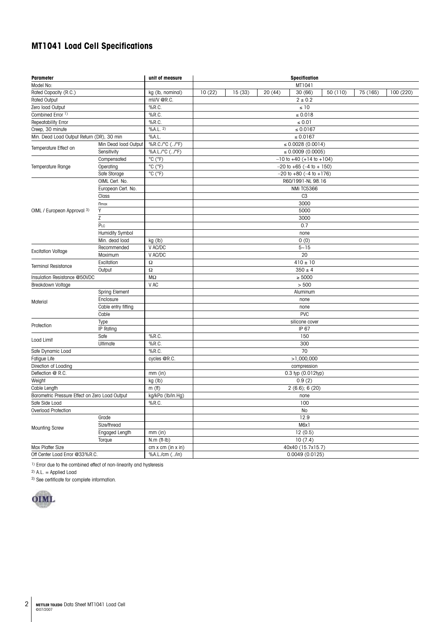## **MT1041 Load Cell Specifications**

| <b>Parameter</b>                               |                      | unit of measure                     | <b>Specification</b>              |        |         |                                    |          |          |           |  |
|------------------------------------------------|----------------------|-------------------------------------|-----------------------------------|--------|---------|------------------------------------|----------|----------|-----------|--|
| Model No:                                      |                      |                                     |                                   |        |         | MT1041                             |          |          |           |  |
| Rated Capacity (R.C.)                          |                      | kg (lb, nominal)                    | 10(22)                            | 15(33) | 20 (44) | 30 (66)                            | 50 (110) | 75 (165) | 100 (220) |  |
| <b>Rated Output</b>                            |                      | mV/V @R.C.                          | $2 \pm 0.2$                       |        |         |                                    |          |          |           |  |
| Zero load Output                               |                      | $%$ R.C.                            | $\leq 10$                         |        |         |                                    |          |          |           |  |
| Combined Error 1)                              |                      | %R.C.                               | $\leq 0.018$                      |        |         |                                    |          |          |           |  |
| Repeatability Error                            |                      | %R.C.                               | $\leq 0.01$                       |        |         |                                    |          |          |           |  |
| Creep, 30 minute                               |                      | %A.L. 2)                            | $\le 0.0167$                      |        |         |                                    |          |          |           |  |
| Min. Dead Load Output Return (DR), 30 min      |                      | %A.L.                               | ≤ $0.0167$                        |        |         |                                    |          |          |           |  |
| Temperature Effect on                          | Min Dead load Output | %R.C./°C (/°F)                      |                                   |        |         | $\leq 0.0028(0.0014)$              |          |          |           |  |
|                                                | Sensitivity          | %A.L./°C (/°F)                      | $\leq 0.0009(0.0005)$             |        |         |                                    |          |          |           |  |
| Temperature Range                              | Compensated          | °C (°F)                             |                                   |        |         | $-10$ to $+40$ ( $+14$ to $+104$ ) |          |          |           |  |
|                                                | Operating            | °C (°F)                             | $-20$ to $+65$ ( $-4$ to $+150$ ) |        |         |                                    |          |          |           |  |
|                                                | Safe Storage         | $\overline{^{\circ}C(\ ^{\circ}F)}$ | $-20$ to $+80$ ( $-4$ to $+176$ ) |        |         |                                    |          |          |           |  |
|                                                | OIML Cert. No.       |                                     | R60/1991-NL 98.16                 |        |         |                                    |          |          |           |  |
|                                                | European Cert. No.   |                                     | NMi TC5366                        |        |         |                                    |          |          |           |  |
|                                                | Class                |                                     | C <sub>3</sub>                    |        |         |                                    |          |          |           |  |
|                                                | <b>n</b> max         |                                     | 3000                              |        |         |                                    |          |          |           |  |
| OIML / European Approval 3)                    | Υ                    |                                     | 5000                              |        |         |                                    |          |          |           |  |
|                                                | Ζ                    |                                     | 3000                              |        |         |                                    |          |          |           |  |
|                                                | PLC                  |                                     | 0.7                               |        |         |                                    |          |          |           |  |
|                                                | Humidity Symbol      |                                     | none                              |        |         |                                    |          |          |           |  |
|                                                | Min. dead load       | kg (lb)                             | 0(0)                              |        |         |                                    |          |          |           |  |
|                                                | Recommended          | V AC/DC                             |                                   |        |         | $5 - 15$                           |          |          |           |  |
| <b>Excitation Voltage</b>                      | Maximum              | V AC/DC                             |                                   |        |         | 20                                 |          |          |           |  |
|                                                | Excitation           | Ω                                   |                                   |        |         | $410 \pm 10$                       |          |          |           |  |
| <b>Terminal Resistance</b>                     | Output               | $\Omega$                            |                                   |        |         | $350 \pm 4$                        |          |          |           |  |
| Insulation Resistance @50VDC                   |                      | $\rm M\Omega$                       |                                   |        |         | $\geq 5000$                        |          |          |           |  |
| Breakdown Voltage                              |                      | V AC                                |                                   |        |         | > 500                              |          |          |           |  |
|                                                | Spring Element       |                                     |                                   |        |         | Aluminum                           |          |          |           |  |
|                                                | Enclosure            |                                     |                                   |        |         | none                               |          |          |           |  |
| Material                                       | Cable entry fitting  |                                     |                                   |        |         | none                               |          |          |           |  |
|                                                | Cable                |                                     |                                   |        |         | <b>PVC</b>                         |          |          |           |  |
| Protection                                     | Type                 |                                     |                                   |        |         | silicone cover                     |          |          |           |  |
|                                                | IP Rating            |                                     | IP 67                             |        |         |                                    |          |          |           |  |
| Load Limit                                     | Safe                 | $%$ R.C.                            |                                   |        |         | 150                                |          |          |           |  |
|                                                | Ultimate             | %R.C.                               |                                   |        |         | 300                                |          |          |           |  |
| Safe Dynamic Load                              |                      | $%$ R.C.                            | 70                                |        |         |                                    |          |          |           |  |
| Fatigue Life                                   |                      | cycles @R.C.                        | >1,000,000                        |        |         |                                    |          |          |           |  |
| Direction of Loading                           |                      |                                     | compression                       |        |         |                                    |          |          |           |  |
| Deflection @ R.C.                              |                      | mm (in)                             | 0.3 typ (0.012typ)                |        |         |                                    |          |          |           |  |
| Weight                                         |                      | kg (lb)                             | 0.9(2)                            |        |         |                                    |          |          |           |  |
| Cable Length                                   |                      | m(f)                                | $2(6.6)$ ; 6 $(20)$               |        |         |                                    |          |          |           |  |
| Barometric Pressure Effect on Zero Load Output |                      | kg/kPa (lb/in.Hg)                   | none                              |        |         |                                    |          |          |           |  |
| Safe Side Load                                 |                      | $%$ R.C.                            | 100                               |        |         |                                    |          |          |           |  |
| Overload Protection                            |                      |                                     |                                   |        |         | No                                 |          |          |           |  |
| <b>Mounting Screw</b>                          | Grade                |                                     |                                   |        |         | 12.9                               |          |          |           |  |
|                                                | Size/thread          |                                     |                                   |        |         | M6x1                               |          |          |           |  |
|                                                | Engaged Length       | $mm$ (in)                           |                                   |        |         | 12(0.5)                            |          |          |           |  |
|                                                | Torque               | $N.m$ (ff- $Ib$ )                   |                                   |        |         | 10(7.4)                            |          |          |           |  |
| Max Platter Size                               |                      | cm x cm (in x in)                   | 40x40 (15.7x15.7)                 |        |         |                                    |          |          |           |  |
| Off Center Load Error @33%R.C.                 |                      | %A.L./cm (/in)                      | 0.0049(0.0125)                    |        |         |                                    |          |          |           |  |

<sup>1)</sup> Error due to the combined effect of non-linearity and hysteresis<br><sup>2)</sup> A.L. = Applied Load

3) See certificate for complete information.

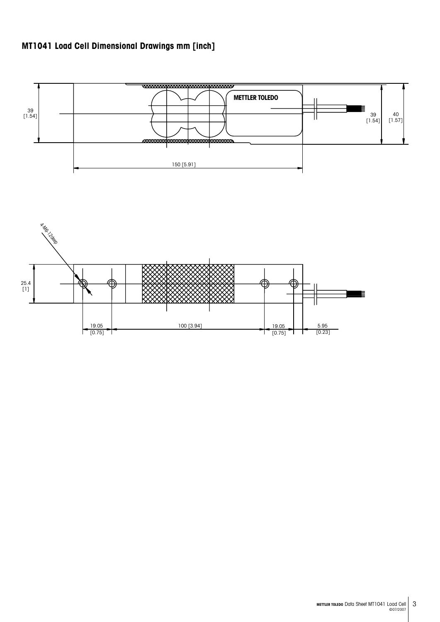# **MT1041 Load Cell Dimensional Drawings mm [inch]**